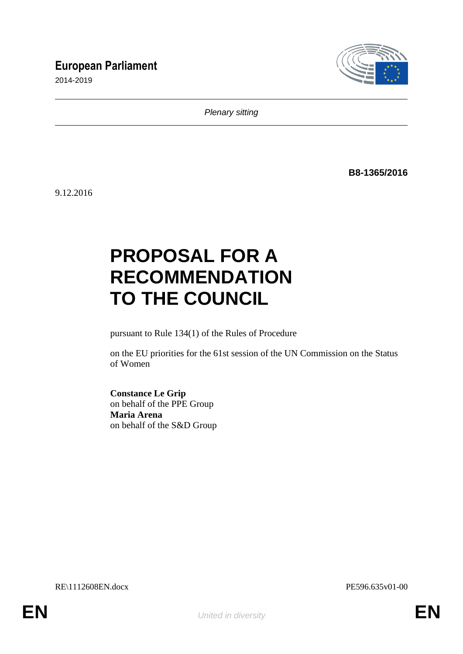## **European Parliament**

2014-2019



*Plenary sitting*

**B8-1365/2016**

9.12.2016

# **PROPOSAL FOR A RECOMMENDATION TO THE COUNCIL**

pursuant to Rule 134(1) of the Rules of Procedure

on the EU priorities for the 61st session of the UN Commission on the Status of Women

**Constance Le Grip** on behalf of the PPE Group **Maria Arena** on behalf of the S&D Group

RE\1112608EN.docx PE596.635v01-00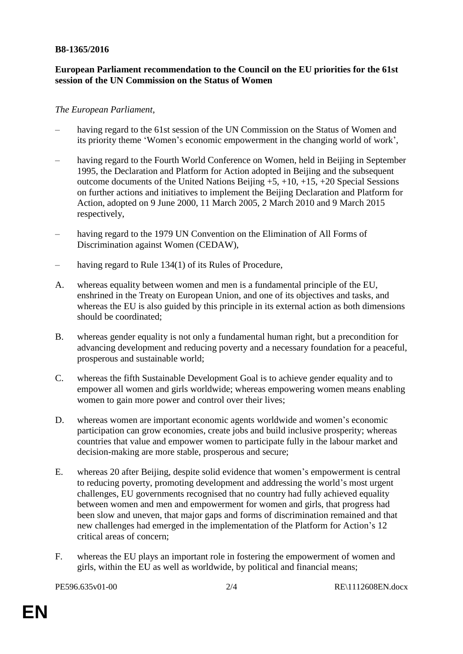#### **B8-1365/2016**

#### **European Parliament recommendation to the Council on the EU priorities for the 61st session of the UN Commission on the Status of Women**

#### *The European Parliament*,

- having regard to the 61st session of the UN Commission on the Status of Women and its priority theme 'Women's economic empowerment in the changing world of work',
- having regard to the Fourth World Conference on Women, held in Beijing in September 1995, the Declaration and Platform for Action adopted in Beijing and the subsequent outcome documents of the United Nations Beijing +5, +10, +15, +20 Special Sessions on further actions and initiatives to implement the Beijing Declaration and Platform for Action, adopted on 9 June 2000, 11 March 2005, 2 March 2010 and 9 March 2015 respectively,
- having regard to the 1979 UN Convention on the Elimination of All Forms of Discrimination against Women (CEDAW),
- having regard to Rule 134(1) of its Rules of Procedure,
- A. whereas equality between women and men is a fundamental principle of the EU, enshrined in the Treaty on European Union, and one of its objectives and tasks, and whereas the EU is also guided by this principle in its external action as both dimensions should be coordinated;
- B. whereas gender equality is not only a fundamental human right, but a precondition for advancing development and reducing poverty and a necessary foundation for a peaceful, prosperous and sustainable world;
- C. whereas the fifth Sustainable Development Goal is to achieve gender equality and to empower all women and girls worldwide; whereas empowering women means enabling women to gain more power and control over their lives;
- D. whereas women are important economic agents worldwide and women's economic participation can grow economies, create jobs and build inclusive prosperity; whereas countries that value and empower women to participate fully in the labour market and decision-making are more stable, prosperous and secure;
- E. whereas 20 after Beijing, despite solid evidence that women's empowerment is central to reducing poverty, promoting development and addressing the world's most urgent challenges, EU governments recognised that no country had fully achieved equality between women and men and empowerment for women and girls, that progress had been slow and uneven, that major gaps and forms of discrimination remained and that new challenges had emerged in the implementation of the Platform for Action's 12 critical areas of concern;
- F. whereas the EU plays an important role in fostering the empowerment of women and girls, within the EU as well as worldwide, by political and financial means;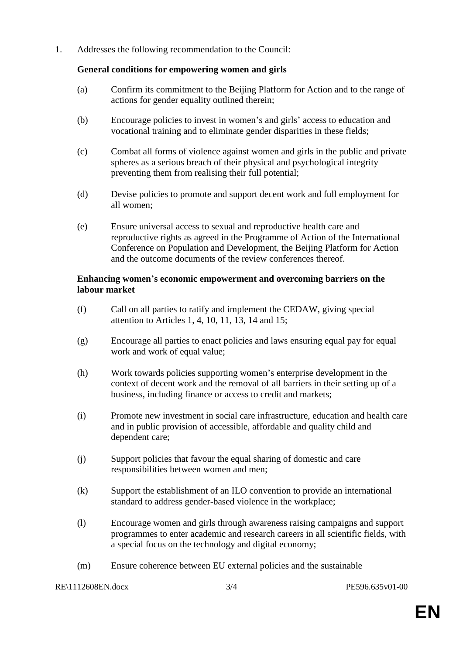1. Addresses the following recommendation to the Council:

#### **General conditions for empowering women and girls**

- (a) Confirm its commitment to the Beijing Platform for Action and to the range of actions for gender equality outlined therein;
- (b) Encourage policies to invest in women's and girls' access to education and vocational training and to eliminate gender disparities in these fields;
- (c) Combat all forms of violence against women and girls in the public and private spheres as a serious breach of their physical and psychological integrity preventing them from realising their full potential;
- (d) Devise policies to promote and support decent work and full employment for all women;
- (e) Ensure universal access to sexual and reproductive health care and reproductive rights as agreed in the Programme of Action of the International Conference on Population and Development, the Beijing Platform for Action and the outcome documents of the review conferences thereof.

#### **Enhancing women's economic empowerment and overcoming barriers on the labour market**

- (f) Call on all parties to ratify and implement the CEDAW, giving special attention to Articles 1, 4, 10, 11, 13, 14 and 15;
- (g) Encourage all parties to enact policies and laws ensuring equal pay for equal work and work of equal value;
- (h) Work towards policies supporting women's enterprise development in the context of decent work and the removal of all barriers in their setting up of a business, including finance or access to credit and markets;
- (i) Promote new investment in social care infrastructure, education and health care and in public provision of accessible, affordable and quality child and dependent care;
- (j) Support policies that favour the equal sharing of domestic and care responsibilities between women and men;
- (k) Support the establishment of an ILO convention to provide an international standard to address gender-based violence in the workplace;
- (l) Encourage women and girls through awareness raising campaigns and support programmes to enter academic and research careers in all scientific fields, with a special focus on the technology and digital economy;
- (m) Ensure coherence between EU external policies and the sustainable

#### RE\1112608EN.docx 3/4 PE596.635v01-00